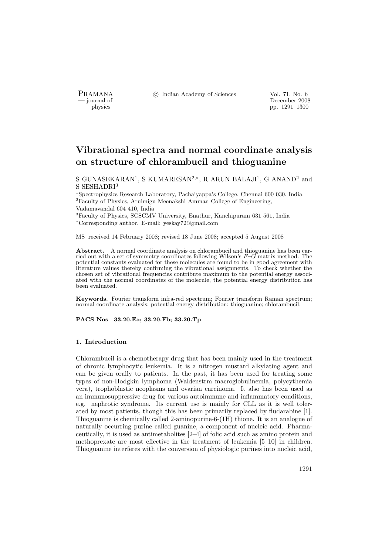PRAMANA <sup>C</sup> Indian Academy of Sciences Vol. 71, No. 6<br>
— iournal of December 2008

physics<br>
and the physics<br>  $\frac{1291-1300}{p}$ pp. 1291–1300

# Vibrational spectra and normal coordinate analysis on structure of chlorambucil and thioguanine

S GUNASEKARAN<sup>1</sup>, S KUMARESAN<sup>2,∗</sup>, R ARUN BALAJI<sup>1</sup>, G ANAND<sup>2</sup> and S SESHADRI<sup>3</sup>

<sup>1</sup>Spectrophysics Research Laboratory, Pachaiyappa's College, Chennai 600 030, India <sup>2</sup>Faculty of Physics, Arulmigu Meenakshi Amman College of Engineering, Vadamavandal 604 410, India

<sup>3</sup>Faculty of Physics, SCSCMV University, Enathur, Kanchipuram 631 561, India <sup>∗</sup>Corresponding author. E-mail: yeskay72@gmail.com

MS received 14 February 2008; revised 18 June 2008; accepted 5 August 2008

Abstract. A normal coordinate analysis on chlorambucil and thioguanine has been carried out with a set of symmetry coordinates following Wilson's  $F-\widetilde{G}$  matrix method. The potential constants evaluated for these molecules are found to be in good agreement with literature values thereby confirming the vibrational assignments. To check whether the chosen set of vibrational frequencies contribute maximum to the potential energy associated with the normal coordinates of the molecule, the potential energy distribution has been evaluated.

Keywords. Fourier transform infra-red spectrum; Fourier transform Raman spectrum; normal coordinate analysis; potential energy distribution; thioguanine; chlorambucil.

PACS Nos 33.20.Ea; 33.20.Fb; 33.20.Tp

## 1. Introduction

Chlorambucil is a chemotherapy drug that has been mainly used in the treatment of chronic lymphocytic leukemia. It is a nitrogen mustard alkylating agent and can be given orally to patients. In the past, it has been used for treating some types of non-Hodgkin lymphoma (Waldenstrm macroglobulinemia, polycythemia vera), trophoblastic neoplasms and ovarian carcinoma. It also has been used as an immunosuppressive drug for various autoimmune and inflammatory conditions, e.g. nephrotic syndrome. Its current use is mainly for CLL as it is well tolerated by most patients, though this has been primarily replaced by fludarabine [1]. Thioguanine is chemically called 2-aminopurine-6-(1H) thione. It is an analogue of naturally occurring purine called guanine, a component of nucleic acid. Pharmaceutically, it is used as antimetabolites [2–4] of folic acid such as amino protein and methoprexate are most effective in the treatment of leukemia [5–10] in children. Thioguanine interferes with the conversion of physiologic purines into nucleic acid,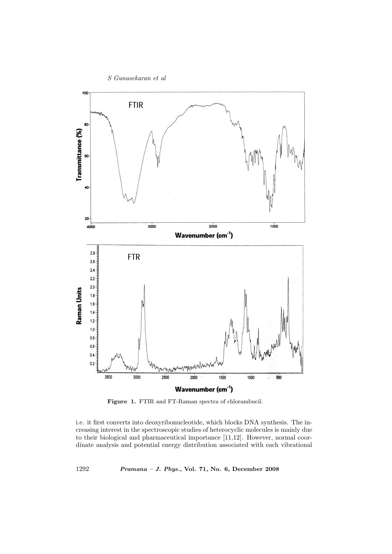

Figure 1. FTIR and FT-Raman spectra of chlorambucil.

i.e. it first converts into deoxyribonucleotide, which blocks DNA synthesis. The increasing interest in the spectroscopic studies of heterocyclic molecules is mainly due to their biological and pharmaceutical importance [11,12]. However, normal coordinate analysis and potential energy distribution associated with each vibrational

1292 Pramana – J. Phys., Vol. 71, No. 6, December 2008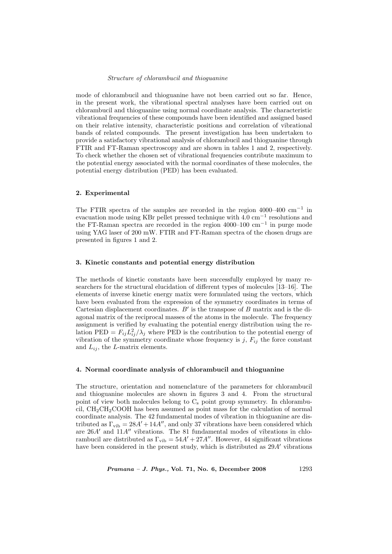mode of chlorambucil and thioguanine have not been carried out so far. Hence, in the present work, the vibrational spectral analyses have been carried out on chlorambucil and thioguanine using normal coordinate analysis. The characteristic vibrational frequencies of these compounds have been identified and assigned based on their relative intensity, characteristic positions and correlation of vibrational bands of related compounds. The present investigation has been undertaken to provide a satisfactory vibrational analysis of chlorambucil and thioguanine through FTIR and FT-Raman spectroscopy and are shown in tables 1 and 2, respectively. To check whether the chosen set of vibrational frequencies contribute maximum to the potential energy associated with the normal coordinates of these molecules, the potential energy distribution (PED) has been evaluated.

#### 2. Experimental

The FTIR spectra of the samples are recorded in the region  $4000-400$  cm<sup>-1</sup> in evacuation mode using KBr pellet pressed technique with  $4.0 \text{ cm}^{-1}$  resolutions and the FT-Raman spectra are recorded in the region 4000–100  $\text{cm}^{-1}$  in purge mode using YAG laser of 200 mW. FTIR and FT-Raman spectra of the chosen drugs are presented in figures 1 and 2.

#### 3. Kinetic constants and potential energy distribution

The methods of kinetic constants have been successfully employed by many researchers for the structural elucidation of different types of molecules [13–16]. The elements of inverse kinetic energy matix were formulated using the vectors, which have been evaluated from the expression of the symmetry coordinates in terms of Cartesian displacement coordinates.  $B'$  is the transpose of  $B$  matrix and is the diagonal matrix of the reciprocal masses of the atoms in the molecule. The frequency assignment is verified by evaluating the potential energy distribution using the relation PED =  $F_{ij} L_{ij}^2 / \lambda_j$  where PED is the contribution to the potential energy of vibration of the symmetry coordinate whose frequency is j,  $F_{ij}$  the force constant and  $L_{ij}$ , the L-matrix elements.

## 4. Normal coordinate analysis of chlorambucil and thioguanine

The structure, orientation and nomenclature of the parameters for chlorambucil and thioguanine molecules are shown in figures 3 and 4. From the structural point of view both molecules belong to  $C_s$  point group symmetry. In chlorambucil,  $CH<sub>2</sub>CHOOH$  has been assumed as point mass for the calculation of normal coordinate analysis. The 42 fundamental modes of vibration in thioguanine are distributed as  $\Gamma_{\text{vib}} = 28A' + 14A''$ , and only 37 vibrations have been considered which are  $26A'$  and  $11A''$  vibrations. The 81 fundamental modes of vibrations in chlorambucil are distributed as  $\Gamma_{\text{vib}} = 54A' + 27A''$ . However, 44 significant vibrations have been considered in the present study, which is distributed as  $29A'$  vibrations

Pramana – J. Phys., Vol. 71, No. 6, December 2008 1293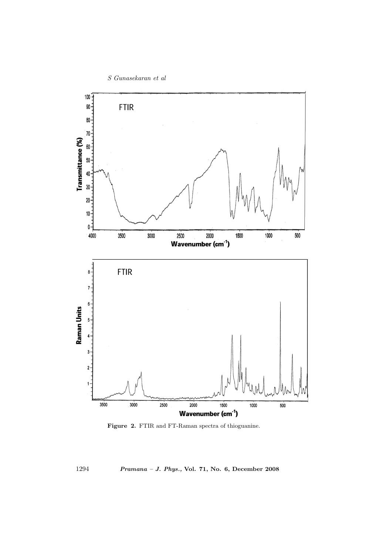

Figure 2. FTIR and FT-Raman spectra of thioguanine.

1294 Pramana – J. Phys., Vol. 71, No. 6, December 2008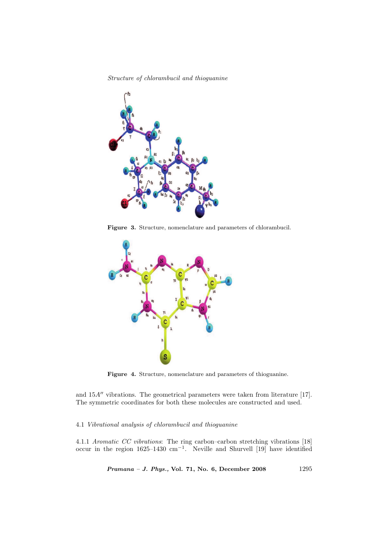

Figure 3. Structure, nomenclature and parameters of chlorambucil.



Figure 4. Structure, nomenclature and parameters of thioguanine.

and  $15A''$  vibrations. The geometrical parameters were taken from literature [17]. The symmetric coordinates for both these molecules are constructed and used.

#### 4.1 Vibrational analysis of chlorambucil and thioguanine

4.1.1 Aromatic CC vibrations: The ring carbon–carbon stretching vibrations [18] occur in the region 1625–1430 cm<sup>−</sup><sup>1</sup> . Neville and Shurvell [19] have identified

Pramana - J. Phys., Vol. 71, No. 6, December 2008 1295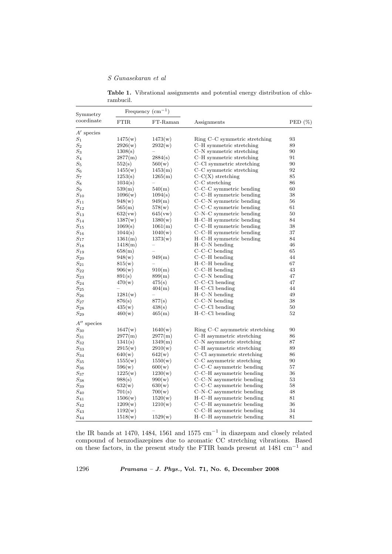## S Gunasekaran et al

| Symmetry<br>$_{\rm coordinate}$ | Frequency $\rm (cm^{-1})$ |          |                                |            |
|---------------------------------|---------------------------|----------|--------------------------------|------------|
|                                 | <b>FTIR</b>               | FT-Raman | Assignments                    | PED $(\%)$ |
| $A'$ species                    |                           |          |                                |            |
| $S_1$                           | 1475(w)                   | 1473(w)  | Ring C–C symmetric stretching  | 93         |
| $\scriptstyle S_2$              | 2926(w)                   | 2932(w)  | C-H symmetric stretching       | 89         |
| $S_3$                           | 1308(s)                   |          | C-N symmetric stretching       | 90         |
| $S_4$                           | 2877(m)                   | 2884(s)  | C-H symmetric stretching       | 91         |
| $S_5$                           | 552(s)                    | 560(w)   | C-Cl symmetric stretching      | 90         |
| $S_6$                           | 1455(w)                   | 1453(m)  | C–C symmetric stretching       | 92         |
| $S_7$                           | 1253(s)                   | 1265(m)  | $C-C(X)$ stretching            | 85         |
| $S_8$                           | 1034(s)                   |          | $C-C$ stretching               | 86         |
| $S_9$                           | 539(m)                    | 540(m)   | C-C-C symmetric bending        | 60         |
| $S_{10}$                        | 1096(w)                   | 1094(s)  | C-C-H symmetric bending        | 38         |
| $S_{11}$                        | 948(w)                    | 949(m)   | $C-C-N$ symmetric bending      | 56         |
| $S_{12}$                        | 565(m)                    | 578(w)   | $C-C-C$ symmetric bending      | 61         |
| $S_{13}$                        | 632(vw)                   | 645(vw)  | $C-N-C$ symmetric bending      | 50         |
| $S_{14}$                        | 1387(w)                   | 1380(w)  | H-C-H symmetric bending        | 84         |
| $S_{15}$                        | 1069(s)                   | 1061(m)  | C-C-H symmetric bending        | 38         |
| $S_{16}$                        | 1044(s)                   | 1040(w)  | C-C-H symmetric bending        | 37         |
| $S_{17}$                        | 1361(m)                   | 1373(w)  | H-C-H symmetric bending        | 84         |
| $S_{18}$                        | 1418(m)                   |          | $H$ –C–N bending               | 46         |
| $S_{19}$                        | 658(m)                    |          | $C-C-C$ bending                | 65         |
| $S_{20}$                        | 948(w)                    | 949(m)   | $C-C-H$ bending                | 44         |
| $S_{21}$                        | 815(w)                    |          | $H$ – $C$ – $H$ bending        | 67         |
| $S_{22}$                        | 906(w)                    | 910(m)   | $C-C-H$ bending                | 43         |
| $S_{23}$                        | 891(s)                    | 899(m)   | C-C-N bending                  | 47         |
| $S_{24}$                        | 470(w)                    | 475(s)   | $C-C-C1$ bending               | 47         |
| $S_{25}$                        |                           | 404(m)   | $H$ –C–Cl bending              | 44         |
| $S_{26}$                        | 1281(w)                   |          | $H-C-N$ bending                | 49         |
| $S_{\rm 27}$                    | 876(s)                    | 877(s)   | $C-C-N$ bending                | 38         |
| $S_{28}$                        | 435(w)                    | 438(s)   | $C-C-C1$ bending               | 50         |
| $S_{29}$                        | 460(w)                    | 465(m)   | $H$ –C–Cl bending              | 52         |
| $A^{\prime\prime}$ species      |                           |          |                                |            |
| $S_{30}$                        | 1647(w)                   | 1640(w)  | Ring C–C asymmetric stretching | 90         |
| $S_{31}$                        | 2977(m)                   | 2977(m)  | C-H asymmetric stretching      | 86         |
| $S_{32}$                        | 1341(s)                   | 1349(m)  | C-N asymmetric stretching      | 87         |
| $S_{33}$                        | 2915(w)                   | 2910(w)  | C-H asymmetric stretching      | 89         |
| $S_{34}$                        | 640(w)                    | 642(w)   | C-Cl asymmetric stretching     | 86         |
| $S_{35}$                        | 1555(w)                   | 1550(w)  | C-C asymmetric stretching      | 90         |
| $S_{36}$                        | 596(w)                    | 600(w)   | C-C-C asymmetric bending       | 57         |
| $S_{37}$                        | 1225(w)                   | 1230(w)  | C-C-H asymmetric bending       | 36         |
| $S_{38}$                        | 988(s)                    | 990(w)   | $C-C-N$ asymmetric bending     | 53         |
| $S_{39}$                        | 632(w)                    | 630(w)   | $C-C-C$ asymmetric bending     | 58         |
| $S_{40}$                        | 701(s)                    | 700(w)   | $C-N-C$ asymmetric bending     | 48         |
| $\scriptstyle S_{41}$           | 1506(w)                   | 1520(w)  | H-C-H asymmetric bending       | 81         |
| $S_{42}$                        | 1209(w)                   | 1210(w)  | C-C-H asymmetric bending       | 36         |
| $\scriptstyle S_{43}$           | 1192(w)                   |          | C-C-H asymmetric bending       | 34         |
| $\scriptstyle S_{44}$           | 1518(w)                   | 1529(w)  | H-C-H asymmetric bending       | 81         |

Table 1. Vibrational assignments and potential energy distribution of chlorambucil.

the IR bands at 1470, 1484, 1561 and 1575 cm<sup>-1</sup> in diazepam and closely related compound of benzodiazepines due to aromatic CC stretching vibrations. Based on these factors, in the present study the FTIR bands present at 1481 cm<sup>−</sup><sup>1</sup> and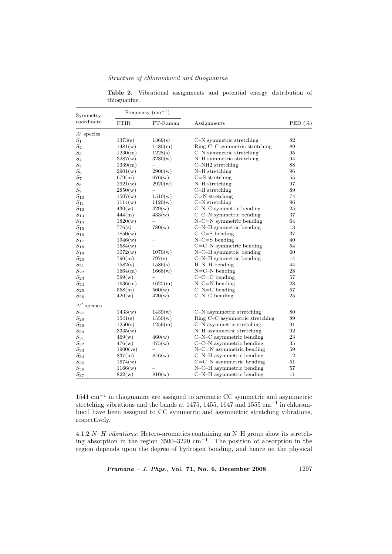Table 2. Vibrational assignments and potential energy distribution of thioguanine.

| Symmetry<br>coordinate     | Frequency $(cm-1)$ |          |                                |            |
|----------------------------|--------------------|----------|--------------------------------|------------|
|                            | <b>FTIR</b>        | FT-Raman | Assignments                    | PED $(\%)$ |
| $A'$ species               |                    |          |                                |            |
| $S_1$                      | 1373(s)            | 1369(s)  | C-N symmetric stretching       | 82         |
| $S_2$                      | 1481(w)            | 1480(m)  | Ring C–C symmetric stretching  | 89         |
| $\mathcal{S}_3$            | 1230(m)            | 1228(s)  | C-N symmetric stretching       | 95         |
| $S_4$                      | 3287(w)            | 3280(w)  | N-H symmetric stretching       | 94         |
| $\mathcal{S}_5$            | 1339(m)            |          | $C-NH2$ stretching             | 88         |
| $\mathcal{S}_6$            | 2901(w)            | 2906(w)  | $N-H$ stretching               | 96         |
| $S_7$                      | 679(m)             | 676(w)   | $C = S$ stretching             | 55         |
| $S_8$                      | 2921(w)            | 2920(w)  | $N-H$ stretching               | 97         |
| $\mathcal{S}_9$            | 2850(w)            |          | $C-H$ stretching               | 89         |
| $S_{10}$                   | 1507(w)            | 1510(w)  | $C=N$ stretching               | 74         |
| $S_{11}$                   | 1114(w)            | 1120(w)  | $C-N$ stretching               | 96         |
| $S_{12}$                   | 430(w)             | 429(w)   | C-N-C symmetric bending        | 25         |
| $\mathcal{S}_{13}$         | 444(m)             | 433(w)   | $C-C-N$ symmetric bending      | 37         |
| $S_{14}$                   | 1820(w)            |          | $N-C=N$ symmetric bending      | 64         |
| $S_{15}$                   | 776(s)             | 780(w)   | C-N-H symmetric bending        | 13         |
| $S_{16}$                   | 1850(w)            |          | $C-C=S$ bending                | 37         |
| $S_{17}$                   | 1946(w)            |          | $N-C=S$ bending                | 40         |
| $S_{18}$                   | 1584(w)            |          | $C=C-N$ symmetric bending      | 54         |
| $S_{19}$                   | 1072(w)            | 1070(w)  | $N-C-H$ symmetric bending      | 60         |
| $S_{20}$                   | 790(m)             | 797(s)   | C-N-H symmetric bending        | 14         |
| $S_{21}$                   | 1582(s)            | 1586(s)  | $H-N-H$ bending                | 44         |
| $S_{22}$                   | 1664(m)            | 1668(w)  | $N=C-N$ bending                | 28         |
| $S_{23}$                   | 599(w)             |          | $C-C=C$ bending                | 57         |
| $S_{24}$                   | 1636(m)            | 1625(m)  | $N-C=N$ bending                | 28         |
| $\mathcal{S}_{25}$         | 558(m)             | 560(w)   | $C-N=C$ bending                | 57         |
| $S_{26}$                   | 420(w)             | 420(w)   | $C-N-C$ bending                | 25         |
| $A^{\prime\prime}$ species |                    |          |                                |            |
| $S_{27}$                   | 1433(w)            | 1439(w)  | C-N asymmetric stretching      | 80         |
| $S_{28}$                   | 1541(s)            | 1550(w)  | Ring C–C asymmetric stretching | 89         |
| $S_{29}$                   | 1250(s)            | 1259(m)  | C-N asymmetric stretching      | 91         |
| $S_{30}$                   | 3335(w)            |          | N-H asymmetric stretching      | 92         |
| $S_{31}$                   | 469(w)             | 460(w)   | $C-N-C$ asymmetric bending     | 23         |
| $S_{32}$                   | 476(w)             | 475(w)   | $C-C-N$ asymmetric bending     | 35         |
| $S_{33}$                   | 1900(vs)           |          | $N-C=N$ asymmetric bending     | 59         |
| $S_{34}$                   | 837(m)             | 846(w)   | C-N-H asymmetric bending       | 12         |
| $S_{35}$                   | 1674(w)            |          | $C=C-N$ asymmetric bending     | 51         |
| $S_{36}$                   | 1166(w)            |          | $N-C-H$ asymmetric bending     | 57         |
| $S_{37}$                   | 822(w)             | 810(w)   | $C-N-H$ asymmetric bending     | 11         |

1541 cm<sup>−</sup><sup>1</sup> in thioguanine are assigned to aromatic CC symmetric and asymmetric stretching vibrations and the bands at 1475, 1455, 1647 and 1555 cm<sup>-1</sup> in chlorambucil have been assigned to CC symmetric and asymmetric stretching vibrations, respectively.

4.1.2  $N-H$  vibrations: Hetero-aromatics containing an N–H group show its stretching absorption in the region 3500–3220 cm<sup>-1</sup>. The position of absorption in the region depends upon the degree of hydrogen bonding, and hence on the physical

Pramana - J. Phys., Vol. 71, No. 6, December 2008 1297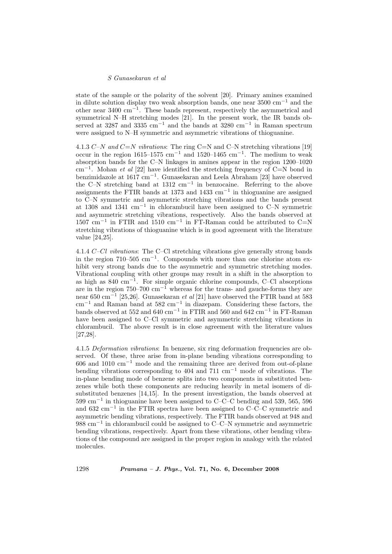#### S Gunasekaran et al

state of the sample or the polarity of the solvent [20]. Primary amines examined in dilute solution display two weak absorption bands, one near 3500 cm<sup>−</sup><sup>1</sup> and the other near 3400 cm<sup>−</sup><sup>1</sup> . These bands represent, respectively the asymmetrical and symmetrical N–H stretching modes [21]. In the present work, the IR bands observed at 3287 and 3335 cm<sup>-1</sup> and the bands at 3280 cm<sup>-1</sup> in Raman spectrum were assigned to N–H symmetric and asymmetric vibrations of thioguanine.

4.1.3 C–N and C=N vibrations: The ring C=N and C–N stretching vibrations [19] occur in the region 1615–1575 cm<sup>-1</sup> and 1520–1465 cm<sup>-1</sup>. The medium to weak absorption bands for the C–N linkages in amines appear in the region 1200–1020 cm<sup>−</sup><sup>1</sup> . Mohan et al [22] have identified the stretching frequency of C=N bond in benzimidazole at 1617 cm<sup>−</sup><sup>1</sup> . Gunasekaran and Leela Abraham [23] have observed the C–N stretching band at 1312 cm<sup>−</sup><sup>1</sup> in benzocaine. Referring to the above assignments the FTIR bands at 1373 and 1433 cm<sup>-1</sup> in thioguanine are assigned to C–N symmetric and asymmetric stretching vibrations and the bands present at 1308 and 1341 cm<sup>−</sup><sup>1</sup> in chlorambucil have been assigned to C–N symmetric and asymmetric stretching vibrations, respectively. Also the bands observed at  $1507 \text{ cm}^{-1}$  in FTIR and  $1510 \text{ cm}^{-1}$  in FT-Raman could be attributed to C=N stretching vibrations of thioguanine which is in good agreement with the literature value [24,25].

4.1.4 C–Cl vibrations: The C–Cl stretching vibrations give generally strong bands in the region  $710-505$  cm<sup>-1</sup>. Compounds with more than one chlorine atom exhibit very strong bands due to the asymmetric and symmetric stretching modes. Vibrational coupling with other groups may result in a shift in the absorption to as high as  $840 \text{ cm}^{-1}$ . For simple organic chlorine compounds, C–Cl absorptions are in the region  $750-700$  cm<sup>-1</sup> whereas for the trans- and gauche-forms they are near 650 cm<sup>-1</sup> [25,26]. Gunasekaran *et al* [21] have observed the FTIR band at 583 cm<sup>−</sup><sup>1</sup> and Raman band at 582 cm<sup>−</sup><sup>1</sup> in diazepam. Considering these factors, the bands observed at 552 and 640 cm<sup>-1</sup> in FTIR and 560 and 642 cm<sup>-1</sup> in FT-Raman have been assigned to C–Cl symmetric and asymmetric stretching vibrations in chlorambucil. The above result is in close agreement with the literature values [27,28].

4.1.5 Deformation vibrations: In benzene, six ring deformation frequencies are observed. Of these, three arise from in-plane bending vibrations corresponding to 606 and 1010 cm<sup>−</sup><sup>1</sup> mode and the remaining three are derived from out-of-plane bending vibrations corresponding to 404 and 711 cm<sup>−</sup><sup>1</sup> mode of vibrations. The in-plane bending mode of benzene splits into two components in substituted benzenes while both these components are reducing heavily in metal isomers of disubstituted benzenes [14,15]. In the present investigation, the bands observed at 599 cm<sup>−</sup><sup>1</sup> in thioguanine have been assigned to C–C–C bending and 539, 565, 596 and 632 cm<sup>−</sup><sup>1</sup> in the FTIR spectra have been assigned to C–C–C symmetric and asymmetric bending vibrations, respectively. The FTIR bands observed at 948 and 988 cm<sup>−</sup><sup>1</sup> in chlorambucil could be assigned to C–C–N symmetric and asymmetric bending vibrations, respectively. Apart from these vibrations, other bending vibrations of the compound are assigned in the proper region in analogy with the related molecules.

1298 Pramana – J. Phys., Vol. 71, No. 6, December 2008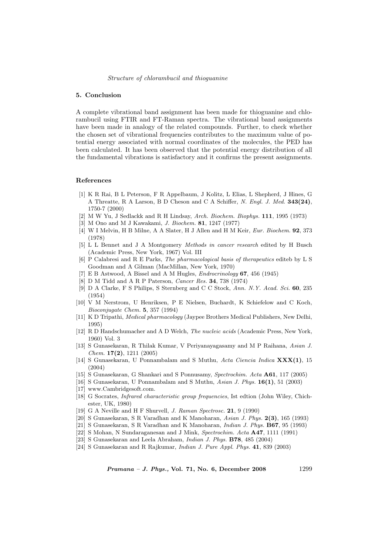#### 5. Conclusion

A complete vibrational band assignment has been made for thioguanine and chlorambucil using FTIR and FT-Raman spectra. The vibrational band assignments have been made in analogy of the related compounds. Further, to check whether the chosen set of vibrational frequencies contributes to the maximum value of potential energy associated with normal coordinates of the molecules, the PED has been calculated. It has been observed that the potential energy distribution of all the fundamental vibrations is satisfactory and it confirms the present assignments.

#### References

- [1] K R Rai, B L Peterson, F R Appelbaum, J Kolitz, L Elias, L Shepherd, J Hines, G A Threatte, R A Larson, B D Cheson and C A Schiffer, N. Engl. J. Med. 343(24), 1750-7 (2000)
- [2] M W Yu, J Sedlackk and R H Lindsay, Arch. Biochem. Biophys. 111, 1995 (1973)
- [3] M Ono and M J Kawakami, J. Biochem. 81, 1247 (1977)
- [4] W I Melvin, H B Milne, A A Slater, H J Allen and H M Keir, Eur. Biochem. 92, 373 (1978)
- [5] L L Bennet and J A Montgomery Methods in cancer research edited by H Busch (Academic Press, New York, 1967) Vol. III
- [6] P Calabresi and R E Parks, The pharmacological basis of therapeutics editeb by L S Goodman and A Gilman (MacMillan, New York, 1970)
- [7] E B Astwood, A Bissel and A M Hugles, Endrocrinology 67, 456 (1945)
- [8] D M Tidd and A R P Paterson, Cancer Res. 34, 738 (1974)
- [9] D A Clarke, F S Philips, S Sternberg and C C Stock, Ann. N.Y. Acad. Sci. 60, 235 (1954)
- [10] V M Nerstrom, U Henriksen, P E Nielsen, Buchardt, K Schiefelow and C Koch, Bioconjugate Chem. 5, 357 (1994)
- [11] K D Tripathi, Medical pharmacology (Jaypee Brothers Medical Publishers, New Delhi, 1995)
- [12] R D Handschumacher and A D Welch, The nucleic acids (Academic Press, New York, 1960) Vol. 3
- [13] S Gunasekaran, R Thilak Kumar, V Periyanayagasamy and M P Raihana, Asian J.  $Chem.$  **17(2)**, 1211 (2005)
- [14] S Gunasekaran, U Ponnambalam and S Muthu, Acta Ciencia Indica  $\mathbf{XXX}(1)$ , 15 (2004)
- [15] S Gunasekaran, G Shankari and S Ponnusamy, Spectrochim. Acta A61, 117 (2005)
- [16] S Gunasekaran, U Ponnambalam and S Muthu, Asian J. Phys. 16(1), 51 (2003)
- [17] www.Cambridgesoft.com.
- [18] G Socrates, Infrared characteristic group frequencies, Ist edtion (John Wiley, Chichester, UK, 1980)
- [19] G A Neville and H F Shurvell, *J. Raman Spectrosc.* **21**, 9 (1990)
- [20] S Gunasekaran, S R Varadhan and K Manoharan, Asian J. Phys. 2(3), 165 (1993)
- [21] S Gunasekaran, S R Varadhan and K Manoharan, Indian J. Phys. B67, 95 (1993)
- [22] S Mohan, N Sundaraganesan and J Mink, Spectrochim. Acta A47, 1111 (1991)
- [23] S Gunasekaran and Leela Abraham, Indian J. Phys. B78, 485 (2004)
- [24] S Gunasekaran and R Rajkumar, Indian J. Pure Appl. Phys. 41, 839 (2003)

*Pramana – J. Phys.*, Vol. 71, No. 6, December 2008 1299